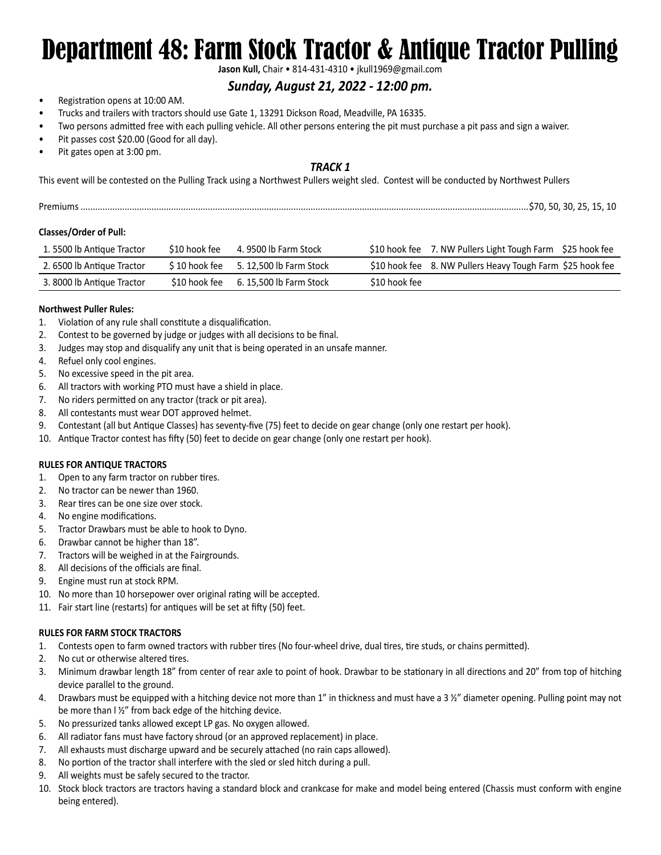# Department 48: Farm Stock Tractor & Antique Tractor Pulling

**Jason Kull,** Chair • 814-431-4310 • jkull1969@gmail.com

### *Sunday, August 21, 2022 - 12:00 pm.*

- Registration opens at 10:00 AM.
- Trucks and trailers with tractors should use Gate 1, 13291 Dickson Road, Meadville, PA 16335.
- Two persons admitted free with each pulling vehicle. All other persons entering the pit must purchase a pit pass and sign a waiver.
- Pit passes cost \$20.00 (Good for all day).
- Pit gates open at 3:00 pm.

#### *TRACK 1*

This event will be contested on the Pulling Track using a Northwest Pullers weight sled. Contest will be conducted by Northwest Pullers

| Dron | חדי |  |  |  |  |
|------|-----|--|--|--|--|
|------|-----|--|--|--|--|

#### **Classes/Order of Pull:**

| 1.5500 lb Antique Tractor  | \$10 hook fee | 4. 9500 lb Farm Stock   |               | \$10 hook fee 7. NW Pullers Light Tough Farm \$25 hook fee |
|----------------------------|---------------|-------------------------|---------------|------------------------------------------------------------|
| 2. 6500 lb Antique Tractor | \$10 hook fee | 5. 12.500 lb Farm Stock |               | \$10 hook fee 8. NW Pullers Heavy Tough Farm \$25 hook fee |
| 3.8000 lb Antique Tractor  | S10 hook fee  | 6. 15.500 lb Farm Stock | \$10 hook fee |                                                            |

#### **Northwest Puller Rules:**

- 1. Violation of any rule shall constitute a disqualification.
- 2. Contest to be governed by judge or judges with all decisions to be final.
- 3. Judges may stop and disqualify any unit that is being operated in an unsafe manner.
- 4. Refuel only cool engines.
- 5. No excessive speed in the pit area.
- 6. All tractors with working PTO must have a shield in place.
- 7. No riders permitted on any tractor (track or pit area).
- 8. All contestants must wear DOT approved helmet.
- 9. Contestant (all but Antique Classes) has seventy-five (75) feet to decide on gear change (only one restart per hook).
- 10. Antique Tractor contest has fifty (50) feet to decide on gear change (only one restart per hook).

#### **RULES FOR ANTIQUE TRACTORS**

- 1. Open to any farm tractor on rubber tires.
- 2. No tractor can be newer than 1960.
- 3. Rear tires can be one size over stock.
- 4. No engine modifications.
- 5. Tractor Drawbars must be able to hook to Dyno.
- 6. Drawbar cannot be higher than 18".
- 7. Tractors will be weighed in at the Fairgrounds.
- 8. All decisions of the officials are final.
- 9. Engine must run at stock RPM.
- 10. No more than 10 horsepower over original rating will be accepted.
- 11. Fair start line (restarts) for antiques will be set at fifty (50) feet.

#### **RULES FOR FARM STOCK TRACTORS**

- 1. Contests open to farm owned tractors with rubber tires (No four-wheel drive, dual tires, tire studs, or chains permitted).
- 2. No cut or otherwise altered tires.
- 3. Minimum drawbar length 18" from center of rear axle to point of hook. Drawbar to be stationary in all directions and 20" from top of hitching device parallel to the ground.
- 4. Drawbars must be equipped with a hitching device not more than 1" in thickness and must have a 3 ½" diameter opening. Pulling point may not be more than l ½" from back edge of the hitching device.
- 5. No pressurized tanks allowed except LP gas. No oxygen allowed.
- 6. All radiator fans must have factory shroud (or an approved replacement) in place.
- 7. All exhausts must discharge upward and be securely attached (no rain caps allowed).
- 8. No portion of the tractor shall interfere with the sled or sled hitch during a pull.
- 9. All weights must be safely secured to the tractor.
- 10. Stock block tractors are tractors having a standard block and crankcase for make and model being entered (Chassis must conform with engine being entered).